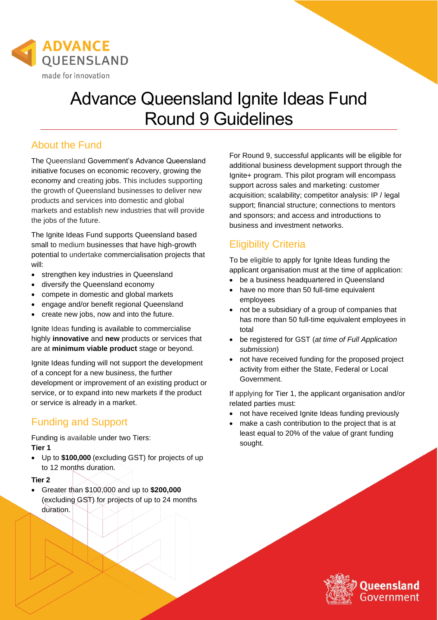

# Advance Queensland Ignite Ideas Fund Round 9 Guidelines

### About the Fund

The Queensland Government's Advance Queensland initiative focuses on economic recovery, growing the economy and creating jobs. This includes supporting the growth of Queensland businesses to deliver new products and services into domestic and global markets and establish new industries that will provide the jobs of the future.

The Ignite Ideas Fund supports Queensland based small to medium businesses that have high-growth potential to undertake commercialisation projects that will:

- strengthen key industries in Queensland
- diversify the Queensland economy
- compete in domestic and global markets
- engage and/or benefit regional Queensland
- create new jobs, now and into the future.

Ignite Ideas funding is available to commercialise highly **innovative** and **new** products or services that are at **minimum viable product** stage or beyond.

Ignite Ideas funding will not support the development of a concept for a new business, the further development or improvement of an existing product or service, or to expand into new markets if the product or service is already in a market.

## Funding and Support

Funding is available under two Tiers: **Tier 1**

• Up to **\$100,000** (excluding GST) for projects of up to 12 months duration.

#### **Tier 2**

• Greater than \$100,000 and up to **\$200,000** (excluding GST) for projects of up to 24 months duration.

For Round 9, successful applicants will be eligible for additional business development support through the Ignite+ program. This pilot program will encompass support across sales and marketing: customer acquisition; scalability; competitor analysis: IP / legal support; financial structure; connections to mentors and sponsors; and access and introductions to business and investment networks.

## Eligibility Criteria

To be eligible to apply for Ignite Ideas funding the applicant organisation must at the time of application:

- be a business headquartered in Queensland
- have no more than 50 full-time equivalent employees
- not be a subsidiary of a group of companies that has more than 50 full-time equivalent employees in total
- be registered for GST (*at time of Full Application submission*)
- not have received funding for the proposed project activity from either the State, Federal or Local Government.

If applying for Tier 1, the applicant organisation and/or related parties must:

- not have received Ignite Ideas funding previously
- make a cash contribution to the project that is at least equal to 20% of the value of grant funding sought.

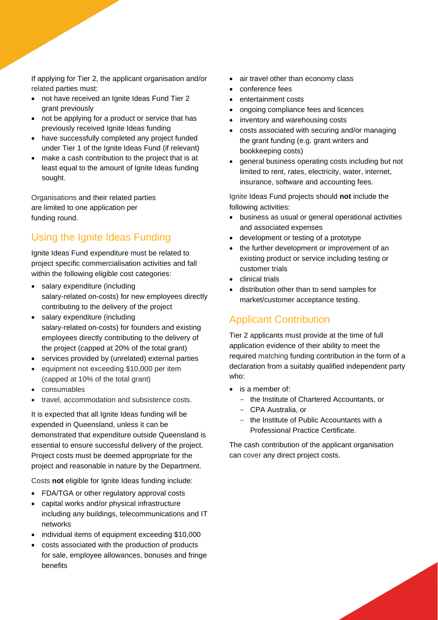If applying for Tier 2, the applicant organisation and/or related parties must:

- not have received an Ignite Ideas Fund Tier 2 grant previously
- not be applying for a product or service that has previously received Ignite Ideas funding
- have successfully completed any project funded under Tier 1 of the Ignite Ideas Fund (if relevant)
- make a cash contribution to the project that is at least equal to the amount of Ignite Ideas funding sought.

Organisations and their related parties are limited to one application per funding round.

## Using the Ignite Ideas Funding

Ignite Ideas Fund expenditure must be related to project specific commercialisation activities and fall within the following eligible cost categories:

- salary expenditure (including salary-related on-costs) for new employees directly contributing to the delivery of the project
- salary expenditure (including salary-related on-costs) for founders and existing employees directly contributing to the delivery of the project (capped at 20% of the total grant)
- services provided by (unrelated) external parties
- equipment not exceeding \$10,000 per item (capped at 10% of the total grant)
- consumables
- travel, accommodation and subsistence costs.

It is expected that all Ignite Ideas funding will be expended in Queensland, unless it can be demonstrated that expenditure outside Queensland is essential to ensure successful delivery of the project. Project costs must be deemed appropriate for the project and reasonable in nature by the Department.

Costs **not** eligible for Ignite Ideas funding include:

- FDA/TGA or other regulatory approval costs
- capital works and/or physical infrastructure including any buildings, telecommunications and IT networks
- individual items of equipment exceeding \$10,000
- costs associated with the production of products for sale, employee allowances, bonuses and fringe benefits
- air travel other than economy class
- conference fees
- entertainment costs
- ongoing compliance fees and licences
- inventory and warehousing costs
- costs associated with securing and/or managing the grant funding (e.g. grant writers and bookkeeping costs)
- general business operating costs including but not limited to rent, rates, electricity, water, internet, insurance, software and accounting fees.

Ignite Ideas Fund projects should **not** include the following activities:

- business as usual or general operational activities and associated expenses
- development or testing of a prototype
- the further development or improvement of an existing product or service including testing or customer trials
- clinical trials
- distribution other than to send samples for market/customer acceptance testing.

## Applicant Contribution

Tier 2 applicants must provide at the time of full application evidence of their ability to meet the required matching funding contribution in the form of a declaration from a suitably qualified independent party who:

- is a member of:
	- the Institute of Chartered Accountants, or
	- CPA Australia, or
	- the Institute of Public Accountants with a Professional Practice Certificate.

The cash contribution of the applicant organisation can cover any direct project costs.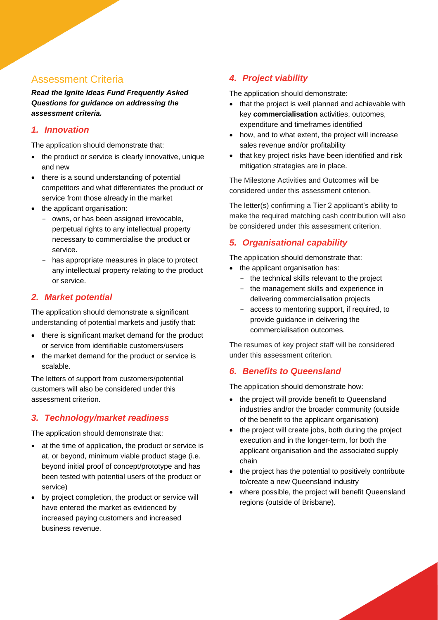#### Assessment Criteria

*Read the Ignite Ideas Fund Frequently Asked Questions for guidance on addressing the assessment criteria.*

#### *1. Innovation*

The application should demonstrate that:

- the product or service is clearly innovative, unique and new
- there is a sound understanding of potential competitors and what differentiates the product or service from those already in the market
- the applicant organisation:
	- owns, or has been assigned irrevocable, perpetual rights to any intellectual property necessary to commercialise the product or service.
	- has appropriate measures in place to protect any intellectual property relating to the product or service.

#### *2. Market potential*

The application should demonstrate a significant understanding of potential markets and justify that:

- there is significant market demand for the product or service from identifiable customers/users
- the market demand for the product or service is scalable.

The letters of support from customers/potential customers will also be considered under this assessment criterion.

#### *3. Technology/market readiness*

The application should demonstrate that:

- at the time of application, the product or service is at, or beyond, minimum viable product stage (i.e. beyond initial proof of concept/prototype and has been tested with potential users of the product or service)
- by project completion, the product or service will have entered the market as evidenced by increased paying customers and increased business revenue.

#### *4. Project viability*

The application should demonstrate:

- that the project is well planned and achievable with key **commercialisation** activities, outcomes, expenditure and timeframes identified
- how, and to what extent, the project will increase sales revenue and/or profitability
- that key project risks have been identified and risk mitigation strategies are in place.

The Milestone Activities and Outcomes will be considered under this assessment criterion.

The letter(s) confirming a Tier 2 applicant's ability to make the required matching cash contribution will also be considered under this assessment criterion.

#### *5. Organisational capability*

The application should demonstrate that:

- the applicant organisation has:
	- the technical skills relevant to the project
	- the management skills and experience in delivering commercialisation projects
	- access to mentoring support, if required, to provide guidance in delivering the commercialisation outcomes.

The resumes of key project staff will be considered under this assessment criterion.

#### *6. Benefits to Queensland*

The application should demonstrate how:

- the project will provide benefit to Queensland industries and/or the broader community (outside of the benefit to the applicant organisation)
- the project will create jobs, both during the project execution and in the longer-term, for both the applicant organisation and the associated supply chain
- the project has the potential to positively contribute to/create a new Queensland industry
- where possible, the project will benefit Queensland regions (outside of Brisbane).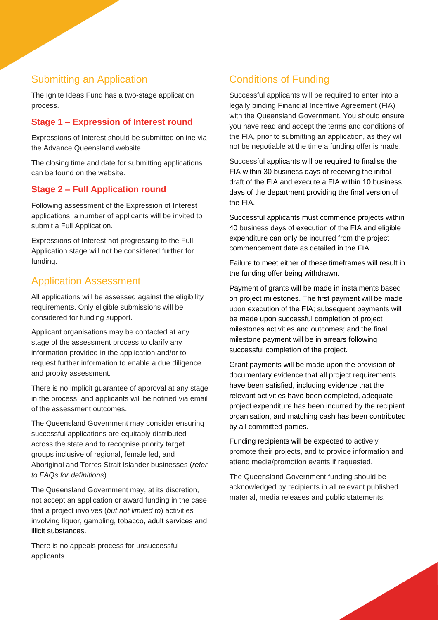## Submitting an Application

The Ignite Ideas Fund has a two-stage application process.

## **Stage 1 – Expression of Interest round**

Expressions of Interest should be submitted online via the Advance Queensland website.

The closing time and date for submitting applications can be found on the website.

## **Stage 2 – Full Application round**

Following assessment of the Expression of Interest applications, a number of applicants will be invited to submit a Full Application.

Expressions of Interest not progressing to the Full Application stage will not be considered further for funding.

## Application Assessment

All applications will be assessed against the eligibility requirements. Only eligible submissions will be considered for funding support.

Applicant organisations may be contacted at any stage of the assessment process to clarify any information provided in the application and/or to request further information to enable a due diligence and probity assessment.

There is no implicit guarantee of approval at any stage in the process, and applicants will be notified via email of the assessment outcomes.

The Queensland Government may consider ensuring successful applications are equitably distributed across the state and to recognise priority target groups inclusive of regional, female led, and Aboriginal and Torres Strait Islander businesses (*refer to FAQs for definitions*).

The Queensland Government may, at its discretion, not accept an application or award funding in the case that a project involves (*but not limited to*) activities involving liquor, gambling, tobacco, adult services and illicit substances.

There is no appeals process for unsuccessful applicants.

## Conditions of Funding

Successful applicants will be required to enter into a legally binding Financial Incentive Agreement (FIA) with the Queensland Government. You should ensure you have read and accept the terms and conditions of the FIA, prior to submitting an application, as they will not be negotiable at the time a funding offer is made.

Successful applicants will be required to finalise the FIA within 30 business days of receiving the initial draft of the FIA and execute a FIA within 10 business days of the department providing the final version of the FIA.

Successful applicants must commence projects within 40 business days of execution of the FIA and eligible expenditure can only be incurred from the project commencement date as detailed in the FIA.

Failure to meet either of these timeframes will result in the funding offer being withdrawn.

Payment of grants will be made in instalments based on project milestones. The first payment will be made upon execution of the FIA; subsequent payments will be made upon successful completion of project milestones activities and outcomes; and the final milestone payment will be in arrears following successful completion of the project.

Grant payments will be made upon the provision of documentary evidence that all project requirements have been satisfied, including evidence that the relevant activities have been completed, adequate project expenditure has been incurred by the recipient organisation, and matching cash has been contributed by all committed parties.

Funding recipients will be expected to actively promote their projects, and to provide information and attend media/promotion events if requested.

The Queensland Government funding should be acknowledged by recipients in all relevant published material, media releases and public statements.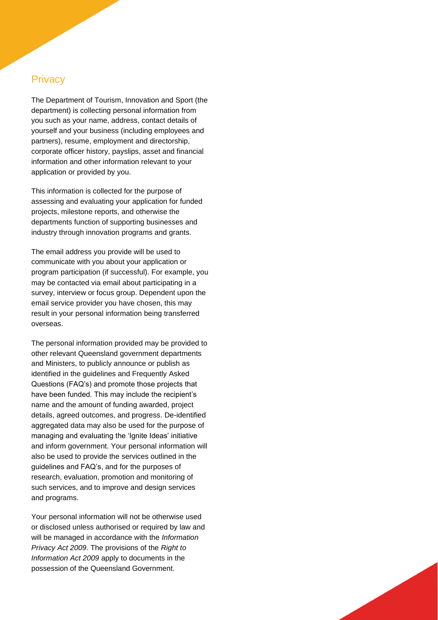#### **Privacy**

The Department of Tourism, Innovation and Sport (the department) is collecting personal information from you such as your name, address, contact details of yourself and your business (including employees and partners), resume, employment and directorship, corporate officer history, payslips, asset and financial information and other information relevant to your application or provided by you.

This information is collected for the purpose of assessing and evaluating your application for funded projects, milestone reports, and otherwise the departments function of supporting businesses and industry through innovation programs and grants.

The email address you provide will be used to communicate with you about your application or program participation (if successful). For example, you may be contacted via email about participating in a survey, interview or focus group. Dependent upon the email service provider you have chosen, this may result in your personal information being transferred overseas.

The personal information provided may be provided to other relevant Queensland government departments and Ministers, to publicly announce or publish as identified in the guidelines and Frequently Asked Questions (FAQ's) and promote those projects that have been funded. This may include the recipient's name and the amount of funding awarded, project details, agreed outcomes, and progress. De-identified aggregated data may also be used for the purpose of managing and evaluating the 'Ignite Ideas' initiative and inform government. Your personal information will also be used to provide the services outlined in the guidelines and FAQ's, and for the purposes of research, evaluation, promotion and monitoring of such services, and to improve and design services and programs.

Your personal information will not be otherwise used or disclosed unless authorised or required by law and will be managed in accordance with the *Information Privacy Act 2009*. The provisions of the *Right to Information Act 2009* apply to documents in the possession of the Queensland Government.